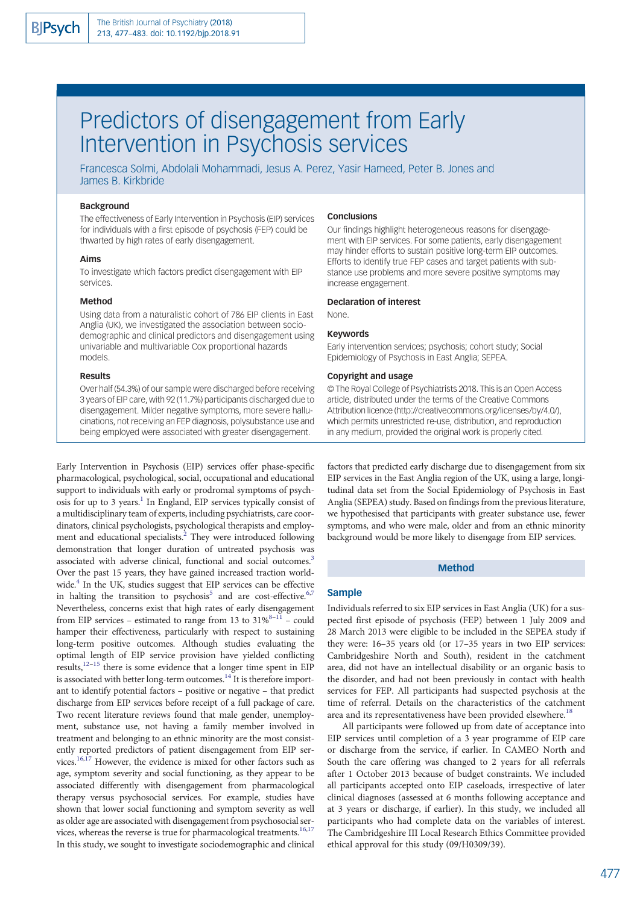# Predictors of disengagement from Early Intervention in Psychosis services

Francesca Solmi, Abdolali Mohammadi, Jesus A. Perez, Yasir Hameed, Peter B. Jones and James B. Kirkbride

# Background

The effectiveness of Early Intervention in Psychosis (EIP) services for individuals with a first episode of psychosis (FEP) could be thwarted by high rates of early disengagement.

## Aims

To investigate which factors predict disengagement with EIP services.

## Method

Using data from a naturalistic cohort of 786 EIP clients in East Anglia (UK), we investigated the association between sociodemographic and clinical predictors and disengagement using univariable and multivariable Cox proportional hazards models.

## Results

Over half (54.3%) of our sample were discharged before receiving 3 years of EIP care, with 92 (11.7%) participants discharged due to disengagement. Milder negative symptoms, more severe hallucinations, not receiving an FEP diagnosis, polysubstance use and being employed were associated with greater disengagement.

Early Intervention in Psychosis (EIP) services offer phase-specific pharmacological, psychological, social, occupational and educational support to individuals with early or prodromal symptoms of psychosis for up to 3 years.<sup>1</sup> In England, EIP services typically consist of a multidisciplinary team of experts, including psychiatrists, care coordinators, clinical psychologists, psychological therapists and employ-ment and educational specialists.<sup>[2](#page-5-0)</sup> They were introduced following demonstration that longer duration of untreated psychosis was associated with adverse clinical, functional and social outcomes.<sup>3</sup> Over the past 15 years, they have gained increased traction worldwide.[4](#page-5-0) In the UK, studies suggest that EIP services can be effective in halting the transition to psychosis<sup>[5](#page-5-0)</sup> and are cost-effective.<sup>[6,7](#page-5-0)</sup> Nevertheless, concerns exist that high rates of early disengagement from EIP services – estimated to range from 13 to  $31\%^{8-11}$  $31\%^{8-11}$  $31\%^{8-11}$  – could hamper their effectiveness, particularly with respect to sustaining long-term positive outcomes. Although studies evaluating the optimal length of EIP service provision have yielded conflicting results[,12](#page-6-0)–[15](#page-6-0) there is some evidence that a longer time spent in EIP is associated with better long-term outcomes.<sup>[14](#page-6-0)</sup> It is therefore important to identify potential factors – positive or negative – that predict discharge from EIP services before receipt of a full package of care. Two recent literature reviews found that male gender, unemployment, substance use, not having a family member involved in treatment and belonging to an ethnic minority are the most consistently reported predictors of patient disengagement from EIP ser-vices.<sup>16,[17](#page-6-0)</sup> However, the evidence is mixed for other factors such as age, symptom severity and social functioning, as they appear to be associated differently with disengagement from pharmacological therapy versus psychosocial services. For example, studies have shown that lower social functioning and symptom severity as well as older age are associated with disengagement from psychosocial services, whereas the reverse is true for pharmacological treatments.<sup>16,17</sup> In this study, we sought to investigate sociodemographic and clinical

## **Conclusions**

Our findings highlight heterogeneous reasons for disengagement with EIP services. For some patients, early disengagement may hinder efforts to sustain positive long-term EIP outcomes. Efforts to identify true FEP cases and target patients with substance use problems and more severe positive symptoms may increase engagement.

## Declaration of interest

None.

#### Keywords

Early intervention services; psychosis; cohort study; Social Epidemiology of Psychosis in East Anglia; SEPEA.

## Copyright and usage

© The Royal College of Psychiatrists 2018. This is an Open Access article, distributed under the terms of the Creative Commons Attribution licence (http://creativecommons.org/licenses/by/4.0/), which permits unrestricted re-use, distribution, and reproduction in any medium, provided the original work is properly cited.

factors that predicted early discharge due to disengagement from six EIP services in the East Anglia region of the UK, using a large, longitudinal data set from the Social Epidemiology of Psychosis in East Anglia (SEPEA) study. Based on findings from the previous literature, we hypothesised that participants with greater substance use, fewer symptoms, and who were male, older and from an ethnic minority background would be more likely to disengage from EIP services.

## Method

## Sample

Individuals referred to six EIP services in East Anglia (UK) for a suspected first episode of psychosis (FEP) between 1 July 2009 and 28 March 2013 were eligible to be included in the SEPEA study if they were: 16–35 years old (or 17–35 years in two EIP services: Cambridgeshire North and South), resident in the catchment area, did not have an intellectual disability or an organic basis to the disorder, and had not been previously in contact with health services for FEP. All participants had suspected psychosis at the time of referral. Details on the characteristics of the catchment area and its representativeness have been provided elsewhere.<sup>[18](#page-6-0)</sup>

All participants were followed up from date of acceptance into EIP services until completion of a 3 year programme of EIP care or discharge from the service, if earlier. In CAMEO North and South the care offering was changed to 2 years for all referrals after 1 October 2013 because of budget constraints. We included all participants accepted onto EIP caseloads, irrespective of later clinical diagnoses (assessed at 6 months following acceptance and at 3 years or discharge, if earlier). In this study, we included all participants who had complete data on the variables of interest. The Cambridgeshire III Local Research Ethics Committee provided ethical approval for this study (09/H0309/39).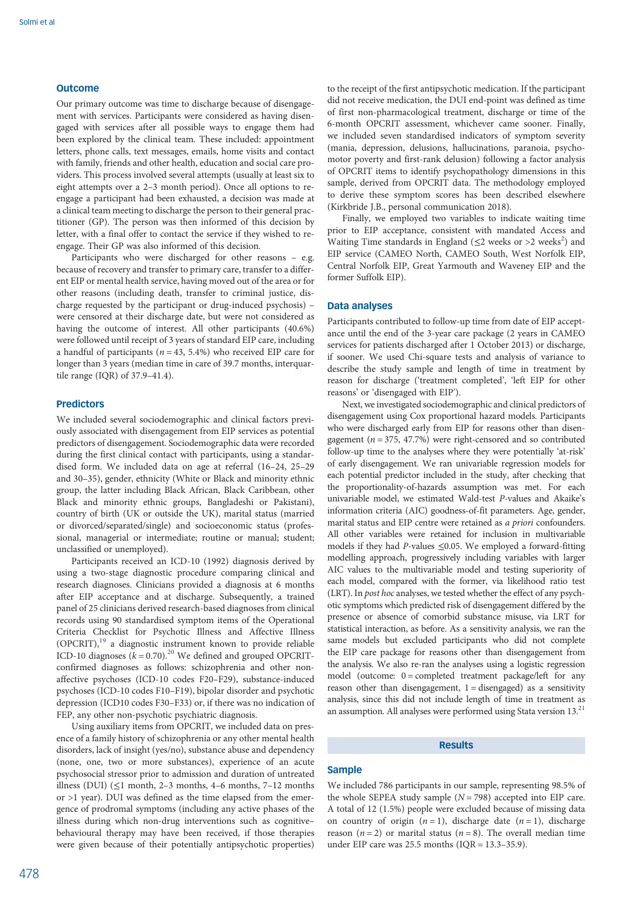# **Outcome**

Our primary outcome was time to discharge because of disengagement with services. Participants were considered as having disengaged with services after all possible ways to engage them had been explored by the clinical team. These included: appointment letters, phone calls, text messages, emails, home visits and contact with family, friends and other health, education and social care providers. This process involved several attempts (usually at least six to eight attempts over a 2–3 month period). Once all options to reengage a participant had been exhausted, a decision was made at a clinical team meeting to discharge the person to their general practitioner (GP). The person was then informed of this decision by letter, with a final offer to contact the service if they wished to reengage. Their GP was also informed of this decision.

Participants who were discharged for other reasons – e.g. because of recovery and transfer to primary care, transfer to a different EIP or mental health service, having moved out of the area or for other reasons (including death, transfer to criminal justice, discharge requested by the participant or drug-induced psychosis) – were censored at their discharge date, but were not considered as having the outcome of interest. All other participants (40.6%) were followed until receipt of 3 years of standard EIP care, including a handful of participants ( $n = 43, 5.4\%$ ) who received EIP care for longer than 3 years (median time in care of 39.7 months, interquartile range (IQR) of 37.9–41.4).

# Predictors

We included several sociodemographic and clinical factors previously associated with disengagement from EIP services as potential predictors of disengagement. Sociodemographic data were recorded during the first clinical contact with participants, using a standardised form. We included data on age at referral (16–24, 25–29 and 30–35), gender, ethnicity (White or Black and minority ethnic group, the latter including Black African, Black Caribbean, other Black and minority ethnic groups, Bangladeshi or Pakistani), country of birth (UK or outside the UK), marital status (married or divorced/separated/single) and socioeconomic status (professional, managerial or intermediate; routine or manual; student; unclassified or unemployed).

Participants received an ICD-10 (1992) diagnosis derived by using a two-stage diagnostic procedure comparing clinical and research diagnoses. Clinicians provided a diagnosis at 6 months after EIP acceptance and at discharge. Subsequently, a trained panel of 25 clinicians derived research-based diagnoses from clinical records using 90 standardised symptom items of the Operational Criteria Checklist for Psychotic Illness and Affective Illness (OPCRIT),[19](#page-6-0) a diagnostic instrument known to provide reliable ICD-10 diagnoses  $(k = 0.70)$ <sup>[20](#page-6-0)</sup> We defined and grouped OPCRITconfirmed diagnoses as follows: schizophrenia and other nonaffective psychoses (ICD-10 codes F20–F29), substance-induced psychoses (ICD-10 codes F10–F19), bipolar disorder and psychotic depression (ICD10 codes F30–F33) or, if there was no indication of FEP, any other non-psychotic psychiatric diagnosis.

Using auxiliary items from OPCRIT, we included data on presence of a family history of schizophrenia or any other mental health disorders, lack of insight (yes/no), substance abuse and dependency (none, one, two or more substances), experience of an acute psychosocial stressor prior to admission and duration of untreated illness (DUI)  $($  < 1 month, 2–3 months, 4–6 months, 7–12 months or >1 year). DUI was defined as the time elapsed from the emergence of prodromal symptoms (including any active phases of the illness during which non-drug interventions such as cognitive– behavioural therapy may have been received, if those therapies were given because of their potentially antipsychotic properties)

to the receipt of the first antipsychotic medication. If the participant did not receive medication, the DUI end-point was defined as time of first non-pharmacological treatment, discharge or time of the 6-month OPCRIT assessment, whichever came sooner. Finally, we included seven standardised indicators of symptom severity (mania, depression, delusions, hallucinations, paranoia, psychomotor poverty and first-rank delusion) following a factor analysis of OPCRIT items to identify psychopathology dimensions in this sample, derived from OPCRIT data. The methodology employed to derive these symptom scores has been described elsewhere (Kirkbride J.B., personal communication 2018).

Finally, we employed two variables to indicate waiting time prior to EIP acceptance, consistent with mandated Access and Waiting Time standards in England ( $\leq$ [2](#page-5-0) weeks or >2 weeks<sup>2</sup>) and EIP service (CAMEO North, CAMEO South, West Norfolk EIP, Central Norfolk EIP, Great Yarmouth and Waveney EIP and the former Suffolk EIP).

### Data analyses

Participants contributed to follow-up time from date of EIP acceptance until the end of the 3-year care package (2 years in CAMEO services for patients discharged after 1 October 2013) or discharge, if sooner. We used Chi-square tests and analysis of variance to describe the study sample and length of time in treatment by reason for discharge ('treatment completed', 'left EIP for other reasons' or 'disengaged with EIP').

Next, we investigated sociodemographic and clinical predictors of disengagement using Cox proportional hazard models. Participants who were discharged early from EIP for reasons other than disengagement ( $n = 375, 47.7%$ ) were right-censored and so contributed follow-up time to the analyses where they were potentially 'at-risk' of early disengagement. We ran univariable regression models for each potential predictor included in the study, after checking that the proportionality-of-hazards assumption was met. For each univariable model, we estimated Wald-test P-values and Akaike's information criteria (AIC) goodness-of-fit parameters. Age, gender, marital status and EIP centre were retained as a priori confounders. All other variables were retained for inclusion in multivariable models if they had P-values  $\leq$ 0.05. We employed a forward-fitting modelling approach, progressively including variables with larger AIC values to the multivariable model and testing superiority of each model, compared with the former, via likelihood ratio test (LRT). In post hoc analyses, we tested whether the effect of any psychotic symptoms which predicted risk of disengagement differed by the presence or absence of comorbid substance misuse, via LRT for statistical interaction, as before. As a sensitivity analysis, we ran the same models but excluded participants who did not complete the EIP care package for reasons other than disengagement from the analysis. We also re-ran the analyses using a logistic regression model (outcome: 0 = completed treatment package/left for any reason other than disengagement,  $1 =$  disengaged) as a sensitivity analysis, since this did not include length of time in treatment as an assumption. All analyses were performed using Stata version 13[.21](#page-6-0)

## Results

# Sample

We included 786 participants in our sample, representing 98.5% of the whole SEPEA study sample  $(N = 798)$  accepted into EIP care. A total of 12 (1.5%) people were excluded because of missing data on country of origin  $(n = 1)$ , discharge date  $(n = 1)$ , discharge reason ( $n = 2$ ) or marital status ( $n = 8$ ). The overall median time under EIP care was  $25.5$  months  $(IOR = 13.3-35.9)$ .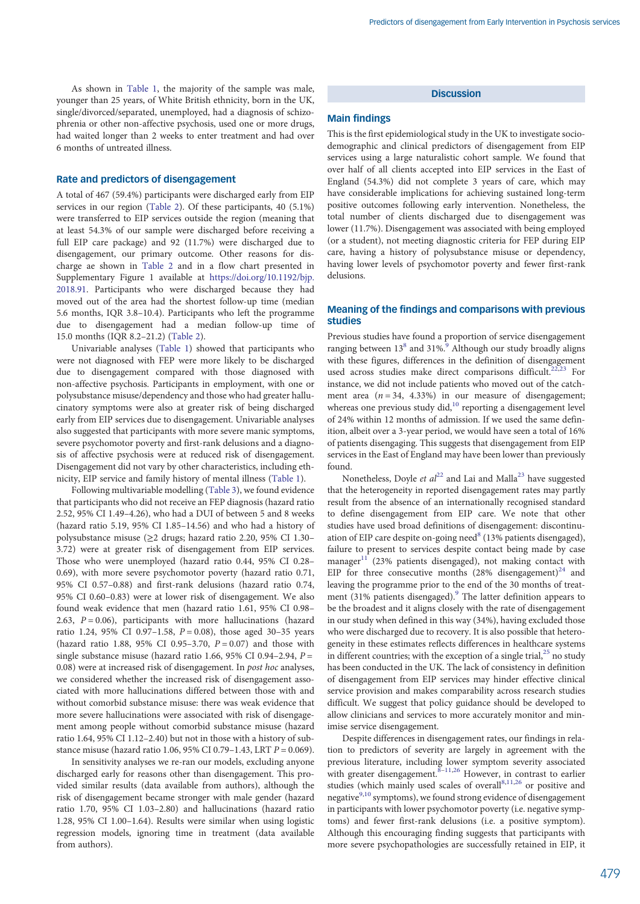As shown in [Table 1](#page-3-0), the majority of the sample was male, younger than 25 years, of White British ethnicity, born in the UK, single/divorced/separated, unemployed, had a diagnosis of schizophrenia or other non-affective psychosis, used one or more drugs, had waited longer than 2 weeks to enter treatment and had over 6 months of untreated illness.

## Rate and predictors of disengagement

A total of 467 (59.4%) participants were discharged early from EIP services in our region ([Table 2\)](#page-4-0). Of these participants, 40 (5.1%) were transferred to EIP services outside the region (meaning that at least 54.3% of our sample were discharged before receiving a full EIP care package) and 92 (11.7%) were discharged due to disengagement, our primary outcome. Other reasons for discharge ae shown in [Table 2](#page-4-0) and in a flow chart presented in Supplementary Figure 1 available at [https://doi.org/10.1192/bjp.](https://doi.org/10.1192/bjp.2018.91) [2018.91](https://doi.org/10.1192/bjp.2018.91). Participants who were discharged because they had moved out of the area had the shortest follow-up time (median 5.6 months, IQR 3.8–10.4). Participants who left the programme due to disengagement had a median follow-up time of 15.0 months (IQR 8.2–21.2) [\(Table 2](#page-4-0)).

Univariable analyses [\(Table 1\)](#page-3-0) showed that participants who were not diagnosed with FEP were more likely to be discharged due to disengagement compared with those diagnosed with non-affective psychosis. Participants in employment, with one or polysubstance misuse/dependency and those who had greater hallucinatory symptoms were also at greater risk of being discharged early from EIP services due to disengagement. Univariable analyses also suggested that participants with more severe manic symptoms, severe psychomotor poverty and first-rank delusions and a diagnosis of affective psychosis were at reduced risk of disengagement. Disengagement did not vary by other characteristics, including ethnicity, EIP service and family history of mental illness ([Table 1\)](#page-3-0).

Following multivariable modelling ([Table 3\)](#page-5-0), we found evidence that participants who did not receive an FEP diagnosis (hazard ratio 2.52, 95% CI 1.49–4.26), who had a DUI of between 5 and 8 weeks (hazard ratio 5.19, 95% CI 1.85–14.56) and who had a history of polysubstance misuse (≥2 drugs; hazard ratio 2.20, 95% CI 1.30– 3.72) were at greater risk of disengagement from EIP services. Those who were unemployed (hazard ratio 0.44, 95% CI 0.28– 0.69), with more severe psychomotor poverty (hazard ratio 0.71, 95% CI 0.57–0.88) and first-rank delusions (hazard ratio 0.74, 95% CI 0.60–0.83) were at lower risk of disengagement. We also found weak evidence that men (hazard ratio 1.61, 95% CI 0.98– 2.63,  $P = 0.06$ ), participants with more hallucinations (hazard ratio 1.24, 95% CI 0.97-1.58,  $P = 0.08$ ), those aged 30-35 years (hazard ratio 1.88, 95% CI 0.95-3.70,  $P = 0.07$ ) and those with single substance misuse (hazard ratio 1.66, 95% CI 0.94–2.94,  $P =$ 0.08) were at increased risk of disengagement. In post hoc analyses, we considered whether the increased risk of disengagement associated with more hallucinations differed between those with and without comorbid substance misuse: there was weak evidence that more severe hallucinations were associated with risk of disengagement among people without comorbid substance misuse (hazard ratio 1.64, 95% CI 1.12–2.40) but not in those with a history of substance misuse (hazard ratio 1.06, 95% CI 0.79-1.43, LRT  $P = 0.069$ ).

In sensitivity analyses we re-ran our models, excluding anyone discharged early for reasons other than disengagement. This provided similar results (data available from authors), although the risk of disengagement became stronger with male gender (hazard ratio 1.70, 95% CI 1.03–2.80) and hallucinations (hazard ratio 1.28, 95% CI 1.00–1.64). Results were similar when using logistic regression models, ignoring time in treatment (data available from authors).

# **Discussion**

## Main findings

This is the first epidemiological study in the UK to investigate sociodemographic and clinical predictors of disengagement from EIP services using a large naturalistic cohort sample. We found that over half of all clients accepted into EIP services in the East of England (54.3%) did not complete 3 years of care, which may have considerable implications for achieving sustained long-term positive outcomes following early intervention. Nonetheless, the total number of clients discharged due to disengagement was lower (11.7%). Disengagement was associated with being employed (or a student), not meeting diagnostic criteria for FEP during EIP care, having a history of polysubstance misuse or dependency, having lower levels of psychomotor poverty and fewer first-rank delusions.

# Meaning of the findings and comparisons with previous studies

Previous studies have found a proportion of service disengagement ranging between  $13^8$  and  $31\%$ .<sup>[9](#page-6-0)</sup> Although our study broadly aligns with these figures, differences in the definition of disengagement used across studies make direct comparisons difficult.<sup>[22](#page-6-0),[23](#page-6-0)</sup> For instance, we did not include patients who moved out of the catchment area  $(n = 34, 4.33%)$  in our measure of disengagement; whereas one previous study did,<sup>[10](#page-6-0)</sup> reporting a disengagement level of 24% within 12 months of admission. If we used the same definition, albeit over a 3-year period, we would have seen a total of 16% of patients disengaging. This suggests that disengagement from EIP services in the East of England may have been lower than previously found.

Nonetheless, Doyle et  $al^{22}$  $al^{22}$  $al^{22}$  and Lai and Malla<sup>[23](#page-6-0)</sup> have suggested that the heterogeneity in reported disengagement rates may partly result from the absence of an internationally recognised standard to define disengagement from EIP care. We note that other studies have used broad definitions of disengagement: discontinu-ation of EIP care despite on-going need<sup>[8](#page-5-0)</sup> (13% patients disengaged), failure to present to services despite contact being made by case manager<sup>[11](#page-6-0)</sup> (23% patients disengaged), not making contact with EIP for three consecutive months  $(28\%$  disengagement)<sup>[24](#page-6-0)</sup> and leaving the programme prior to the end of the 30 months of treat-ment (31% patients disengaged).<sup>[9](#page-6-0)</sup> The latter definition appears to be the broadest and it aligns closely with the rate of disengagement in our study when defined in this way (34%), having excluded those who were discharged due to recovery. It is also possible that heterogeneity in these estimates reflects differences in healthcare systems in different countries; with the exception of a single trial, $^{25}$  $^{25}$  $^{25}$  no study has been conducted in the UK. The lack of consistency in definition of disengagement from EIP services may hinder effective clinical service provision and makes comparability across research studies difficult. We suggest that policy guidance should be developed to allow clinicians and services to more accurately monitor and minimise service disengagement.

Despite differences in disengagement rates, our findings in relation to predictors of severity are largely in agreement with the previous literature, including lower symptom severity associated with greater disengagement.  $8-11,26$  $8-11,26$  $8-11,26$  $8-11,26$  $8-11,26$  However, in contrast to earlier studies (which mainly used scales of overall<sup>[8,](#page-5-0)[11,26](#page-6-0)</sup> or positive and negative $9,10$  $9,10$  $9,10$  symptoms), we found strong evidence of disengagement in participants with lower psychomotor poverty (i.e. negative symptoms) and fewer first-rank delusions (i.e. a positive symptom). Although this encouraging finding suggests that participants with more severe psychopathologies are successfully retained in EIP, it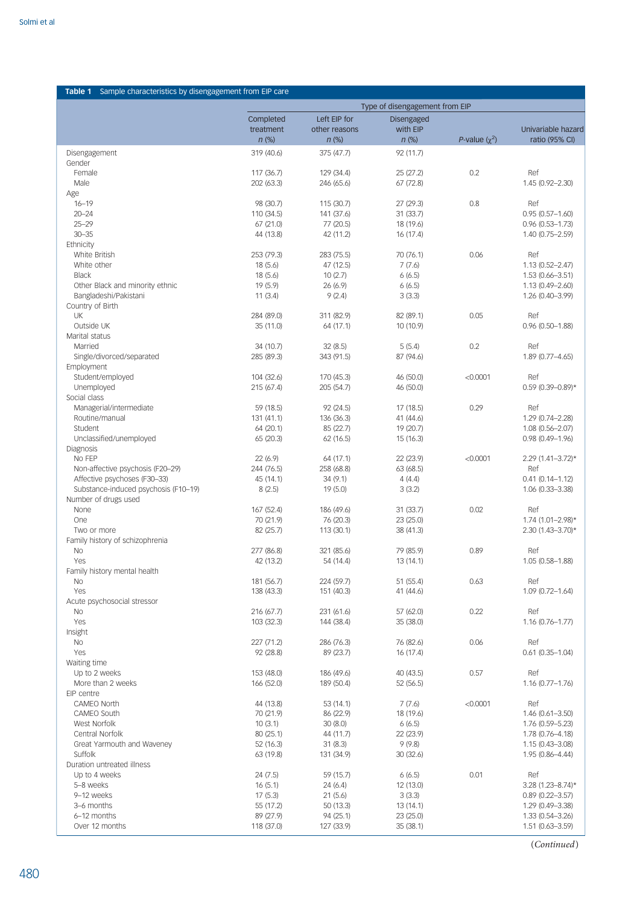<span id="page-3-0"></span>

| Type of disengagement from EIP<br>Left EIP for<br>Completed<br><b>Disengaged</b><br>with EIP<br>treatment<br>other reasons<br>$n$ (%)<br>$n$ (%)<br>$n$ (%)<br>P-value $(\chi^2)$<br>ratio (95% CI)<br>319 (40.6)<br>375 (47.7)<br>92 (11.7)<br>Disengagement<br>Gender<br>0.2<br>Female<br>117 (36.7)<br>129 (34.4)<br>25 (27.2)<br>Ref<br>Male<br>202 (63.3)<br>246 (65.6)<br>67(72.8)<br>Age<br>$16 - 19$<br>0.8<br>Ref<br>98 (30.7)<br>115 (30.7)<br>27 (29.3)<br>$20 - 24$<br>110 (34.5)<br>141 (37.6)<br>31 (33.7)<br>$0.95(0.57 - 1.60)$<br>$25 - 29$<br>67 (21.0)<br>77 (20.5)<br>18 (19.6)<br>$0.96(0.53 - 1.73)$<br>$30 - 35$<br>16 (17.4)<br>44 (13.8)<br>42 (11.2)<br>1.40 (0.75-2.59)<br>Ethnicity<br>0.06<br>White British<br>253 (79.3)<br>283 (75.5)<br>70 (76.1)<br>Ref<br>White other<br>18(5.6)<br>47 (12.5)<br>7(7.6)<br><b>Black</b><br>18(5.6)<br>10(2.7)<br>6(6.5)<br>1.53 (0.66-3.51)<br>Other Black and minority ethnic<br>19 (5.9)<br>26 (6.9)<br>6(6.5)<br>$1.13(0.49 - 2.60)$<br>Bangladeshi/Pakistani<br>11(3.4)<br>9(2.4)<br>3(3.3)<br>1.26 (0.40-3.99)<br>Country of Birth<br>0.05<br>UK<br>284 (89.0)<br>311 (82.9)<br>82 (89.1)<br>Ref<br>Outside UK<br>35 (11.0)<br>10 (10.9)<br>64 (17.1)<br>Marital status<br>0.2<br>Married<br>34 (10.7)<br>32(8.5)<br>5(5.4)<br>Ref<br>Single/divorced/separated<br>285 (89.3)<br>87 (94.6)<br>343 (91.5)<br>1.89 (0.77-4.65)<br>Employment<br>Student/employed<br>104 (32.6)<br>170 (45.3)<br>46 (50.0)<br>< 0.0001<br>Ref<br>Unemployed<br>215 (67.4)<br>205 (54.7)<br>46 (50.0)<br>Social class<br>0.29<br>Managerial/intermediate<br>59 (18.5)<br>92 (24.5)<br>17 (18.5)<br>Ref<br>Routine/manual<br>1.29 (0.74-2.28)<br>131 (41.1)<br>136 (36.3)<br>41 (44.6)<br>Student<br>64 (20.1)<br>85 (22.7)<br>19 (20.7)<br>$1.08(0.56 - 2.07)$<br>Unclassified/unemployed<br>65 (20.3)<br>15 (16.3)<br>62(16.5)<br>Diagnosis<br>No FEP<br>22(6.9)<br>22 (23.9)<br>< 0.0001<br>64 (17.1)<br>Non-affective psychosis (F20-29)<br>63 (68.5)<br>Ref<br>244 (76.5)<br>258 (68.8)<br>Affective psychoses (F30-33)<br>34(9.1)<br>4(4.4)<br>$0.41(0.14 - 1.12)$<br>45 (14.1)<br>Substance-induced psychosis (F10-19)<br>8(2.5)<br>19 (5.0)<br>3(3.2)<br>1.06 (0.33-3.38)<br>Number of drugs used<br>0.02<br>None<br>167 (52.4)<br>31 (33.7)<br>Ref<br>186 (49.6)<br>70 (21.9)<br>One<br>76 (20.3)<br>23 (25.0)<br>82 (25.7)<br>113 (30.1)<br>38 (41.3)<br>Two or more<br>Family history of schizophrenia<br>0.89<br><b>No</b><br>277 (86.8)<br>321 (85.6)<br>79 (85.9)<br>Ref<br>Yes<br>42 (13.2)<br>13(14.1)<br>54 (14.4)<br>Family history mental health<br>181 (56.7)<br>51 (55.4)<br>0.63<br>Ref<br>No<br>224 (59.7)<br>Yes<br>138 (43.3)<br>151 (40.3)<br>41 (44.6)<br>Acute psychosocial stressor<br>0.22<br>231 (61.6)<br>57 (62.0)<br>Ref<br>No.<br>216 (67.7)<br>Yes<br>103 (32.3)<br>35 (38.0)<br>144 (38.4)<br>$1.16(0.76 - 1.77)$<br>Insight<br>227 (71.2)<br>286 (76.3)<br>76 (82.6)<br>0.06<br>Ref<br>No.<br>Yes<br>92 (28.8)<br>89 (23.7)<br>16 (17.4)<br>Waiting time<br>Up to 2 weeks<br>153 (48.0)<br>40 (43.5)<br>0.57<br>Ref<br>186 (49.6)<br>More than 2 weeks<br>166 (52.0)<br>189 (50.4)<br>52 (56.5)<br>$1.16(0.77 - 1.76)$<br>EIP centre<br>7(7.6)<br>< 0.0001<br>Ref<br><b>CAMEO North</b><br>44 (13.8)<br>53 (14.1)<br>18 (19.6)<br>CAMEO South<br>70 (21.9)<br>86 (22.9)<br>West Norfolk<br>10(3.1)<br>30(8.0)<br>6(6.5)<br>1.76 (0.59-5.23)<br>Central Norfolk<br>80 (25.1)<br>22 (23.9)<br>44 (11.7)<br>1.78 (0.76-4.18)<br>9(9.8)<br>Great Yarmouth and Waveney<br>52 (16.3)<br>31(8.3)<br>$1.15(0.43 - 3.08)$<br>Suffolk<br>63 (19.8)<br>30(32.6)<br>131 (34.9)<br>Duration untreated illness<br>0.01<br>Ref<br>Up to 4 weeks<br>24 (7.5)<br>59 (15.7)<br>6(6.5) | Sample characteristics by disengagement from EIP care<br>Table 1 |  |  |                                         |
|-------------------------------------------------------------------------------------------------------------------------------------------------------------------------------------------------------------------------------------------------------------------------------------------------------------------------------------------------------------------------------------------------------------------------------------------------------------------------------------------------------------------------------------------------------------------------------------------------------------------------------------------------------------------------------------------------------------------------------------------------------------------------------------------------------------------------------------------------------------------------------------------------------------------------------------------------------------------------------------------------------------------------------------------------------------------------------------------------------------------------------------------------------------------------------------------------------------------------------------------------------------------------------------------------------------------------------------------------------------------------------------------------------------------------------------------------------------------------------------------------------------------------------------------------------------------------------------------------------------------------------------------------------------------------------------------------------------------------------------------------------------------------------------------------------------------------------------------------------------------------------------------------------------------------------------------------------------------------------------------------------------------------------------------------------------------------------------------------------------------------------------------------------------------------------------------------------------------------------------------------------------------------------------------------------------------------------------------------------------------------------------------------------------------------------------------------------------------------------------------------------------------------------------------------------------------------------------------------------------------------------------------------------------------------------------------------------------------------------------------------------------------------------------------------------------------------------------------------------------------------------------------------------------------------------------------------------------------------------------------------------------------------------------------------------------------------------------------------------------------------------------------------------------------------------------------------------------------------------------------------------------------------------------------------------------------------------------------------------------------------------------------------------------------------------------------------------------------------------------------------------------------------------------------------------------------------------------------------------------------------------------------------------------------------------------------------------------------------------------------------------------|------------------------------------------------------------------|--|--|-----------------------------------------|
|                                                                                                                                                                                                                                                                                                                                                                                                                                                                                                                                                                                                                                                                                                                                                                                                                                                                                                                                                                                                                                                                                                                                                                                                                                                                                                                                                                                                                                                                                                                                                                                                                                                                                                                                                                                                                                                                                                                                                                                                                                                                                                                                                                                                                                                                                                                                                                                                                                                                                                                                                                                                                                                                                                                                                                                                                                                                                                                                                                                                                                                                                                                                                                                                                                                                                                                                                                                                                                                                                                                                                                                                                                                                                                                                                             |                                                                  |  |  |                                         |
|                                                                                                                                                                                                                                                                                                                                                                                                                                                                                                                                                                                                                                                                                                                                                                                                                                                                                                                                                                                                                                                                                                                                                                                                                                                                                                                                                                                                                                                                                                                                                                                                                                                                                                                                                                                                                                                                                                                                                                                                                                                                                                                                                                                                                                                                                                                                                                                                                                                                                                                                                                                                                                                                                                                                                                                                                                                                                                                                                                                                                                                                                                                                                                                                                                                                                                                                                                                                                                                                                                                                                                                                                                                                                                                                                             |                                                                  |  |  |                                         |
|                                                                                                                                                                                                                                                                                                                                                                                                                                                                                                                                                                                                                                                                                                                                                                                                                                                                                                                                                                                                                                                                                                                                                                                                                                                                                                                                                                                                                                                                                                                                                                                                                                                                                                                                                                                                                                                                                                                                                                                                                                                                                                                                                                                                                                                                                                                                                                                                                                                                                                                                                                                                                                                                                                                                                                                                                                                                                                                                                                                                                                                                                                                                                                                                                                                                                                                                                                                                                                                                                                                                                                                                                                                                                                                                                             |                                                                  |  |  | Univariable hazard                      |
|                                                                                                                                                                                                                                                                                                                                                                                                                                                                                                                                                                                                                                                                                                                                                                                                                                                                                                                                                                                                                                                                                                                                                                                                                                                                                                                                                                                                                                                                                                                                                                                                                                                                                                                                                                                                                                                                                                                                                                                                                                                                                                                                                                                                                                                                                                                                                                                                                                                                                                                                                                                                                                                                                                                                                                                                                                                                                                                                                                                                                                                                                                                                                                                                                                                                                                                                                                                                                                                                                                                                                                                                                                                                                                                                                             |                                                                  |  |  |                                         |
|                                                                                                                                                                                                                                                                                                                                                                                                                                                                                                                                                                                                                                                                                                                                                                                                                                                                                                                                                                                                                                                                                                                                                                                                                                                                                                                                                                                                                                                                                                                                                                                                                                                                                                                                                                                                                                                                                                                                                                                                                                                                                                                                                                                                                                                                                                                                                                                                                                                                                                                                                                                                                                                                                                                                                                                                                                                                                                                                                                                                                                                                                                                                                                                                                                                                                                                                                                                                                                                                                                                                                                                                                                                                                                                                                             |                                                                  |  |  |                                         |
|                                                                                                                                                                                                                                                                                                                                                                                                                                                                                                                                                                                                                                                                                                                                                                                                                                                                                                                                                                                                                                                                                                                                                                                                                                                                                                                                                                                                                                                                                                                                                                                                                                                                                                                                                                                                                                                                                                                                                                                                                                                                                                                                                                                                                                                                                                                                                                                                                                                                                                                                                                                                                                                                                                                                                                                                                                                                                                                                                                                                                                                                                                                                                                                                                                                                                                                                                                                                                                                                                                                                                                                                                                                                                                                                                             |                                                                  |  |  |                                         |
|                                                                                                                                                                                                                                                                                                                                                                                                                                                                                                                                                                                                                                                                                                                                                                                                                                                                                                                                                                                                                                                                                                                                                                                                                                                                                                                                                                                                                                                                                                                                                                                                                                                                                                                                                                                                                                                                                                                                                                                                                                                                                                                                                                                                                                                                                                                                                                                                                                                                                                                                                                                                                                                                                                                                                                                                                                                                                                                                                                                                                                                                                                                                                                                                                                                                                                                                                                                                                                                                                                                                                                                                                                                                                                                                                             |                                                                  |  |  | 1.45 (0.92-2.30)                        |
|                                                                                                                                                                                                                                                                                                                                                                                                                                                                                                                                                                                                                                                                                                                                                                                                                                                                                                                                                                                                                                                                                                                                                                                                                                                                                                                                                                                                                                                                                                                                                                                                                                                                                                                                                                                                                                                                                                                                                                                                                                                                                                                                                                                                                                                                                                                                                                                                                                                                                                                                                                                                                                                                                                                                                                                                                                                                                                                                                                                                                                                                                                                                                                                                                                                                                                                                                                                                                                                                                                                                                                                                                                                                                                                                                             |                                                                  |  |  |                                         |
|                                                                                                                                                                                                                                                                                                                                                                                                                                                                                                                                                                                                                                                                                                                                                                                                                                                                                                                                                                                                                                                                                                                                                                                                                                                                                                                                                                                                                                                                                                                                                                                                                                                                                                                                                                                                                                                                                                                                                                                                                                                                                                                                                                                                                                                                                                                                                                                                                                                                                                                                                                                                                                                                                                                                                                                                                                                                                                                                                                                                                                                                                                                                                                                                                                                                                                                                                                                                                                                                                                                                                                                                                                                                                                                                                             |                                                                  |  |  |                                         |
|                                                                                                                                                                                                                                                                                                                                                                                                                                                                                                                                                                                                                                                                                                                                                                                                                                                                                                                                                                                                                                                                                                                                                                                                                                                                                                                                                                                                                                                                                                                                                                                                                                                                                                                                                                                                                                                                                                                                                                                                                                                                                                                                                                                                                                                                                                                                                                                                                                                                                                                                                                                                                                                                                                                                                                                                                                                                                                                                                                                                                                                                                                                                                                                                                                                                                                                                                                                                                                                                                                                                                                                                                                                                                                                                                             |                                                                  |  |  |                                         |
|                                                                                                                                                                                                                                                                                                                                                                                                                                                                                                                                                                                                                                                                                                                                                                                                                                                                                                                                                                                                                                                                                                                                                                                                                                                                                                                                                                                                                                                                                                                                                                                                                                                                                                                                                                                                                                                                                                                                                                                                                                                                                                                                                                                                                                                                                                                                                                                                                                                                                                                                                                                                                                                                                                                                                                                                                                                                                                                                                                                                                                                                                                                                                                                                                                                                                                                                                                                                                                                                                                                                                                                                                                                                                                                                                             |                                                                  |  |  |                                         |
|                                                                                                                                                                                                                                                                                                                                                                                                                                                                                                                                                                                                                                                                                                                                                                                                                                                                                                                                                                                                                                                                                                                                                                                                                                                                                                                                                                                                                                                                                                                                                                                                                                                                                                                                                                                                                                                                                                                                                                                                                                                                                                                                                                                                                                                                                                                                                                                                                                                                                                                                                                                                                                                                                                                                                                                                                                                                                                                                                                                                                                                                                                                                                                                                                                                                                                                                                                                                                                                                                                                                                                                                                                                                                                                                                             |                                                                  |  |  |                                         |
|                                                                                                                                                                                                                                                                                                                                                                                                                                                                                                                                                                                                                                                                                                                                                                                                                                                                                                                                                                                                                                                                                                                                                                                                                                                                                                                                                                                                                                                                                                                                                                                                                                                                                                                                                                                                                                                                                                                                                                                                                                                                                                                                                                                                                                                                                                                                                                                                                                                                                                                                                                                                                                                                                                                                                                                                                                                                                                                                                                                                                                                                                                                                                                                                                                                                                                                                                                                                                                                                                                                                                                                                                                                                                                                                                             |                                                                  |  |  |                                         |
|                                                                                                                                                                                                                                                                                                                                                                                                                                                                                                                                                                                                                                                                                                                                                                                                                                                                                                                                                                                                                                                                                                                                                                                                                                                                                                                                                                                                                                                                                                                                                                                                                                                                                                                                                                                                                                                                                                                                                                                                                                                                                                                                                                                                                                                                                                                                                                                                                                                                                                                                                                                                                                                                                                                                                                                                                                                                                                                                                                                                                                                                                                                                                                                                                                                                                                                                                                                                                                                                                                                                                                                                                                                                                                                                                             |                                                                  |  |  | $1.13(0.52 - 2.47)$                     |
|                                                                                                                                                                                                                                                                                                                                                                                                                                                                                                                                                                                                                                                                                                                                                                                                                                                                                                                                                                                                                                                                                                                                                                                                                                                                                                                                                                                                                                                                                                                                                                                                                                                                                                                                                                                                                                                                                                                                                                                                                                                                                                                                                                                                                                                                                                                                                                                                                                                                                                                                                                                                                                                                                                                                                                                                                                                                                                                                                                                                                                                                                                                                                                                                                                                                                                                                                                                                                                                                                                                                                                                                                                                                                                                                                             |                                                                  |  |  |                                         |
|                                                                                                                                                                                                                                                                                                                                                                                                                                                                                                                                                                                                                                                                                                                                                                                                                                                                                                                                                                                                                                                                                                                                                                                                                                                                                                                                                                                                                                                                                                                                                                                                                                                                                                                                                                                                                                                                                                                                                                                                                                                                                                                                                                                                                                                                                                                                                                                                                                                                                                                                                                                                                                                                                                                                                                                                                                                                                                                                                                                                                                                                                                                                                                                                                                                                                                                                                                                                                                                                                                                                                                                                                                                                                                                                                             |                                                                  |  |  |                                         |
|                                                                                                                                                                                                                                                                                                                                                                                                                                                                                                                                                                                                                                                                                                                                                                                                                                                                                                                                                                                                                                                                                                                                                                                                                                                                                                                                                                                                                                                                                                                                                                                                                                                                                                                                                                                                                                                                                                                                                                                                                                                                                                                                                                                                                                                                                                                                                                                                                                                                                                                                                                                                                                                                                                                                                                                                                                                                                                                                                                                                                                                                                                                                                                                                                                                                                                                                                                                                                                                                                                                                                                                                                                                                                                                                                             |                                                                  |  |  |                                         |
|                                                                                                                                                                                                                                                                                                                                                                                                                                                                                                                                                                                                                                                                                                                                                                                                                                                                                                                                                                                                                                                                                                                                                                                                                                                                                                                                                                                                                                                                                                                                                                                                                                                                                                                                                                                                                                                                                                                                                                                                                                                                                                                                                                                                                                                                                                                                                                                                                                                                                                                                                                                                                                                                                                                                                                                                                                                                                                                                                                                                                                                                                                                                                                                                                                                                                                                                                                                                                                                                                                                                                                                                                                                                                                                                                             |                                                                  |  |  |                                         |
|                                                                                                                                                                                                                                                                                                                                                                                                                                                                                                                                                                                                                                                                                                                                                                                                                                                                                                                                                                                                                                                                                                                                                                                                                                                                                                                                                                                                                                                                                                                                                                                                                                                                                                                                                                                                                                                                                                                                                                                                                                                                                                                                                                                                                                                                                                                                                                                                                                                                                                                                                                                                                                                                                                                                                                                                                                                                                                                                                                                                                                                                                                                                                                                                                                                                                                                                                                                                                                                                                                                                                                                                                                                                                                                                                             |                                                                  |  |  | $0.96(0.50 - 1.88)$                     |
|                                                                                                                                                                                                                                                                                                                                                                                                                                                                                                                                                                                                                                                                                                                                                                                                                                                                                                                                                                                                                                                                                                                                                                                                                                                                                                                                                                                                                                                                                                                                                                                                                                                                                                                                                                                                                                                                                                                                                                                                                                                                                                                                                                                                                                                                                                                                                                                                                                                                                                                                                                                                                                                                                                                                                                                                                                                                                                                                                                                                                                                                                                                                                                                                                                                                                                                                                                                                                                                                                                                                                                                                                                                                                                                                                             |                                                                  |  |  |                                         |
|                                                                                                                                                                                                                                                                                                                                                                                                                                                                                                                                                                                                                                                                                                                                                                                                                                                                                                                                                                                                                                                                                                                                                                                                                                                                                                                                                                                                                                                                                                                                                                                                                                                                                                                                                                                                                                                                                                                                                                                                                                                                                                                                                                                                                                                                                                                                                                                                                                                                                                                                                                                                                                                                                                                                                                                                                                                                                                                                                                                                                                                                                                                                                                                                                                                                                                                                                                                                                                                                                                                                                                                                                                                                                                                                                             |                                                                  |  |  |                                         |
|                                                                                                                                                                                                                                                                                                                                                                                                                                                                                                                                                                                                                                                                                                                                                                                                                                                                                                                                                                                                                                                                                                                                                                                                                                                                                                                                                                                                                                                                                                                                                                                                                                                                                                                                                                                                                                                                                                                                                                                                                                                                                                                                                                                                                                                                                                                                                                                                                                                                                                                                                                                                                                                                                                                                                                                                                                                                                                                                                                                                                                                                                                                                                                                                                                                                                                                                                                                                                                                                                                                                                                                                                                                                                                                                                             |                                                                  |  |  |                                         |
|                                                                                                                                                                                                                                                                                                                                                                                                                                                                                                                                                                                                                                                                                                                                                                                                                                                                                                                                                                                                                                                                                                                                                                                                                                                                                                                                                                                                                                                                                                                                                                                                                                                                                                                                                                                                                                                                                                                                                                                                                                                                                                                                                                                                                                                                                                                                                                                                                                                                                                                                                                                                                                                                                                                                                                                                                                                                                                                                                                                                                                                                                                                                                                                                                                                                                                                                                                                                                                                                                                                                                                                                                                                                                                                                                             |                                                                  |  |  |                                         |
|                                                                                                                                                                                                                                                                                                                                                                                                                                                                                                                                                                                                                                                                                                                                                                                                                                                                                                                                                                                                                                                                                                                                                                                                                                                                                                                                                                                                                                                                                                                                                                                                                                                                                                                                                                                                                                                                                                                                                                                                                                                                                                                                                                                                                                                                                                                                                                                                                                                                                                                                                                                                                                                                                                                                                                                                                                                                                                                                                                                                                                                                                                                                                                                                                                                                                                                                                                                                                                                                                                                                                                                                                                                                                                                                                             |                                                                  |  |  | $0.59$ (0.39-0.89)*                     |
|                                                                                                                                                                                                                                                                                                                                                                                                                                                                                                                                                                                                                                                                                                                                                                                                                                                                                                                                                                                                                                                                                                                                                                                                                                                                                                                                                                                                                                                                                                                                                                                                                                                                                                                                                                                                                                                                                                                                                                                                                                                                                                                                                                                                                                                                                                                                                                                                                                                                                                                                                                                                                                                                                                                                                                                                                                                                                                                                                                                                                                                                                                                                                                                                                                                                                                                                                                                                                                                                                                                                                                                                                                                                                                                                                             |                                                                  |  |  |                                         |
|                                                                                                                                                                                                                                                                                                                                                                                                                                                                                                                                                                                                                                                                                                                                                                                                                                                                                                                                                                                                                                                                                                                                                                                                                                                                                                                                                                                                                                                                                                                                                                                                                                                                                                                                                                                                                                                                                                                                                                                                                                                                                                                                                                                                                                                                                                                                                                                                                                                                                                                                                                                                                                                                                                                                                                                                                                                                                                                                                                                                                                                                                                                                                                                                                                                                                                                                                                                                                                                                                                                                                                                                                                                                                                                                                             |                                                                  |  |  |                                         |
|                                                                                                                                                                                                                                                                                                                                                                                                                                                                                                                                                                                                                                                                                                                                                                                                                                                                                                                                                                                                                                                                                                                                                                                                                                                                                                                                                                                                                                                                                                                                                                                                                                                                                                                                                                                                                                                                                                                                                                                                                                                                                                                                                                                                                                                                                                                                                                                                                                                                                                                                                                                                                                                                                                                                                                                                                                                                                                                                                                                                                                                                                                                                                                                                                                                                                                                                                                                                                                                                                                                                                                                                                                                                                                                                                             |                                                                  |  |  |                                         |
|                                                                                                                                                                                                                                                                                                                                                                                                                                                                                                                                                                                                                                                                                                                                                                                                                                                                                                                                                                                                                                                                                                                                                                                                                                                                                                                                                                                                                                                                                                                                                                                                                                                                                                                                                                                                                                                                                                                                                                                                                                                                                                                                                                                                                                                                                                                                                                                                                                                                                                                                                                                                                                                                                                                                                                                                                                                                                                                                                                                                                                                                                                                                                                                                                                                                                                                                                                                                                                                                                                                                                                                                                                                                                                                                                             |                                                                  |  |  | $0.98(0.49 - 1.96)$                     |
|                                                                                                                                                                                                                                                                                                                                                                                                                                                                                                                                                                                                                                                                                                                                                                                                                                                                                                                                                                                                                                                                                                                                                                                                                                                                                                                                                                                                                                                                                                                                                                                                                                                                                                                                                                                                                                                                                                                                                                                                                                                                                                                                                                                                                                                                                                                                                                                                                                                                                                                                                                                                                                                                                                                                                                                                                                                                                                                                                                                                                                                                                                                                                                                                                                                                                                                                                                                                                                                                                                                                                                                                                                                                                                                                                             |                                                                  |  |  |                                         |
|                                                                                                                                                                                                                                                                                                                                                                                                                                                                                                                                                                                                                                                                                                                                                                                                                                                                                                                                                                                                                                                                                                                                                                                                                                                                                                                                                                                                                                                                                                                                                                                                                                                                                                                                                                                                                                                                                                                                                                                                                                                                                                                                                                                                                                                                                                                                                                                                                                                                                                                                                                                                                                                                                                                                                                                                                                                                                                                                                                                                                                                                                                                                                                                                                                                                                                                                                                                                                                                                                                                                                                                                                                                                                                                                                             |                                                                  |  |  | $2.29$ (1.41-3.72)*                     |
|                                                                                                                                                                                                                                                                                                                                                                                                                                                                                                                                                                                                                                                                                                                                                                                                                                                                                                                                                                                                                                                                                                                                                                                                                                                                                                                                                                                                                                                                                                                                                                                                                                                                                                                                                                                                                                                                                                                                                                                                                                                                                                                                                                                                                                                                                                                                                                                                                                                                                                                                                                                                                                                                                                                                                                                                                                                                                                                                                                                                                                                                                                                                                                                                                                                                                                                                                                                                                                                                                                                                                                                                                                                                                                                                                             |                                                                  |  |  |                                         |
|                                                                                                                                                                                                                                                                                                                                                                                                                                                                                                                                                                                                                                                                                                                                                                                                                                                                                                                                                                                                                                                                                                                                                                                                                                                                                                                                                                                                                                                                                                                                                                                                                                                                                                                                                                                                                                                                                                                                                                                                                                                                                                                                                                                                                                                                                                                                                                                                                                                                                                                                                                                                                                                                                                                                                                                                                                                                                                                                                                                                                                                                                                                                                                                                                                                                                                                                                                                                                                                                                                                                                                                                                                                                                                                                                             |                                                                  |  |  |                                         |
|                                                                                                                                                                                                                                                                                                                                                                                                                                                                                                                                                                                                                                                                                                                                                                                                                                                                                                                                                                                                                                                                                                                                                                                                                                                                                                                                                                                                                                                                                                                                                                                                                                                                                                                                                                                                                                                                                                                                                                                                                                                                                                                                                                                                                                                                                                                                                                                                                                                                                                                                                                                                                                                                                                                                                                                                                                                                                                                                                                                                                                                                                                                                                                                                                                                                                                                                                                                                                                                                                                                                                                                                                                                                                                                                                             |                                                                  |  |  |                                         |
|                                                                                                                                                                                                                                                                                                                                                                                                                                                                                                                                                                                                                                                                                                                                                                                                                                                                                                                                                                                                                                                                                                                                                                                                                                                                                                                                                                                                                                                                                                                                                                                                                                                                                                                                                                                                                                                                                                                                                                                                                                                                                                                                                                                                                                                                                                                                                                                                                                                                                                                                                                                                                                                                                                                                                                                                                                                                                                                                                                                                                                                                                                                                                                                                                                                                                                                                                                                                                                                                                                                                                                                                                                                                                                                                                             |                                                                  |  |  |                                         |
|                                                                                                                                                                                                                                                                                                                                                                                                                                                                                                                                                                                                                                                                                                                                                                                                                                                                                                                                                                                                                                                                                                                                                                                                                                                                                                                                                                                                                                                                                                                                                                                                                                                                                                                                                                                                                                                                                                                                                                                                                                                                                                                                                                                                                                                                                                                                                                                                                                                                                                                                                                                                                                                                                                                                                                                                                                                                                                                                                                                                                                                                                                                                                                                                                                                                                                                                                                                                                                                                                                                                                                                                                                                                                                                                                             |                                                                  |  |  | $1.74$ (1.01-2.98)*                     |
|                                                                                                                                                                                                                                                                                                                                                                                                                                                                                                                                                                                                                                                                                                                                                                                                                                                                                                                                                                                                                                                                                                                                                                                                                                                                                                                                                                                                                                                                                                                                                                                                                                                                                                                                                                                                                                                                                                                                                                                                                                                                                                                                                                                                                                                                                                                                                                                                                                                                                                                                                                                                                                                                                                                                                                                                                                                                                                                                                                                                                                                                                                                                                                                                                                                                                                                                                                                                                                                                                                                                                                                                                                                                                                                                                             |                                                                  |  |  | 2.30 (1.43-3.70)*                       |
|                                                                                                                                                                                                                                                                                                                                                                                                                                                                                                                                                                                                                                                                                                                                                                                                                                                                                                                                                                                                                                                                                                                                                                                                                                                                                                                                                                                                                                                                                                                                                                                                                                                                                                                                                                                                                                                                                                                                                                                                                                                                                                                                                                                                                                                                                                                                                                                                                                                                                                                                                                                                                                                                                                                                                                                                                                                                                                                                                                                                                                                                                                                                                                                                                                                                                                                                                                                                                                                                                                                                                                                                                                                                                                                                                             |                                                                  |  |  |                                         |
|                                                                                                                                                                                                                                                                                                                                                                                                                                                                                                                                                                                                                                                                                                                                                                                                                                                                                                                                                                                                                                                                                                                                                                                                                                                                                                                                                                                                                                                                                                                                                                                                                                                                                                                                                                                                                                                                                                                                                                                                                                                                                                                                                                                                                                                                                                                                                                                                                                                                                                                                                                                                                                                                                                                                                                                                                                                                                                                                                                                                                                                                                                                                                                                                                                                                                                                                                                                                                                                                                                                                                                                                                                                                                                                                                             |                                                                  |  |  | 1.05 (0.58-1.88)                        |
|                                                                                                                                                                                                                                                                                                                                                                                                                                                                                                                                                                                                                                                                                                                                                                                                                                                                                                                                                                                                                                                                                                                                                                                                                                                                                                                                                                                                                                                                                                                                                                                                                                                                                                                                                                                                                                                                                                                                                                                                                                                                                                                                                                                                                                                                                                                                                                                                                                                                                                                                                                                                                                                                                                                                                                                                                                                                                                                                                                                                                                                                                                                                                                                                                                                                                                                                                                                                                                                                                                                                                                                                                                                                                                                                                             |                                                                  |  |  |                                         |
|                                                                                                                                                                                                                                                                                                                                                                                                                                                                                                                                                                                                                                                                                                                                                                                                                                                                                                                                                                                                                                                                                                                                                                                                                                                                                                                                                                                                                                                                                                                                                                                                                                                                                                                                                                                                                                                                                                                                                                                                                                                                                                                                                                                                                                                                                                                                                                                                                                                                                                                                                                                                                                                                                                                                                                                                                                                                                                                                                                                                                                                                                                                                                                                                                                                                                                                                                                                                                                                                                                                                                                                                                                                                                                                                                             |                                                                  |  |  |                                         |
|                                                                                                                                                                                                                                                                                                                                                                                                                                                                                                                                                                                                                                                                                                                                                                                                                                                                                                                                                                                                                                                                                                                                                                                                                                                                                                                                                                                                                                                                                                                                                                                                                                                                                                                                                                                                                                                                                                                                                                                                                                                                                                                                                                                                                                                                                                                                                                                                                                                                                                                                                                                                                                                                                                                                                                                                                                                                                                                                                                                                                                                                                                                                                                                                                                                                                                                                                                                                                                                                                                                                                                                                                                                                                                                                                             |                                                                  |  |  | 1.09 (0.72-1.64)                        |
|                                                                                                                                                                                                                                                                                                                                                                                                                                                                                                                                                                                                                                                                                                                                                                                                                                                                                                                                                                                                                                                                                                                                                                                                                                                                                                                                                                                                                                                                                                                                                                                                                                                                                                                                                                                                                                                                                                                                                                                                                                                                                                                                                                                                                                                                                                                                                                                                                                                                                                                                                                                                                                                                                                                                                                                                                                                                                                                                                                                                                                                                                                                                                                                                                                                                                                                                                                                                                                                                                                                                                                                                                                                                                                                                                             |                                                                  |  |  |                                         |
|                                                                                                                                                                                                                                                                                                                                                                                                                                                                                                                                                                                                                                                                                                                                                                                                                                                                                                                                                                                                                                                                                                                                                                                                                                                                                                                                                                                                                                                                                                                                                                                                                                                                                                                                                                                                                                                                                                                                                                                                                                                                                                                                                                                                                                                                                                                                                                                                                                                                                                                                                                                                                                                                                                                                                                                                                                                                                                                                                                                                                                                                                                                                                                                                                                                                                                                                                                                                                                                                                                                                                                                                                                                                                                                                                             |                                                                  |  |  |                                         |
|                                                                                                                                                                                                                                                                                                                                                                                                                                                                                                                                                                                                                                                                                                                                                                                                                                                                                                                                                                                                                                                                                                                                                                                                                                                                                                                                                                                                                                                                                                                                                                                                                                                                                                                                                                                                                                                                                                                                                                                                                                                                                                                                                                                                                                                                                                                                                                                                                                                                                                                                                                                                                                                                                                                                                                                                                                                                                                                                                                                                                                                                                                                                                                                                                                                                                                                                                                                                                                                                                                                                                                                                                                                                                                                                                             |                                                                  |  |  |                                         |
|                                                                                                                                                                                                                                                                                                                                                                                                                                                                                                                                                                                                                                                                                                                                                                                                                                                                                                                                                                                                                                                                                                                                                                                                                                                                                                                                                                                                                                                                                                                                                                                                                                                                                                                                                                                                                                                                                                                                                                                                                                                                                                                                                                                                                                                                                                                                                                                                                                                                                                                                                                                                                                                                                                                                                                                                                                                                                                                                                                                                                                                                                                                                                                                                                                                                                                                                                                                                                                                                                                                                                                                                                                                                                                                                                             |                                                                  |  |  |                                         |
|                                                                                                                                                                                                                                                                                                                                                                                                                                                                                                                                                                                                                                                                                                                                                                                                                                                                                                                                                                                                                                                                                                                                                                                                                                                                                                                                                                                                                                                                                                                                                                                                                                                                                                                                                                                                                                                                                                                                                                                                                                                                                                                                                                                                                                                                                                                                                                                                                                                                                                                                                                                                                                                                                                                                                                                                                                                                                                                                                                                                                                                                                                                                                                                                                                                                                                                                                                                                                                                                                                                                                                                                                                                                                                                                                             |                                                                  |  |  | $0.61(0.35 - 1.04)$                     |
|                                                                                                                                                                                                                                                                                                                                                                                                                                                                                                                                                                                                                                                                                                                                                                                                                                                                                                                                                                                                                                                                                                                                                                                                                                                                                                                                                                                                                                                                                                                                                                                                                                                                                                                                                                                                                                                                                                                                                                                                                                                                                                                                                                                                                                                                                                                                                                                                                                                                                                                                                                                                                                                                                                                                                                                                                                                                                                                                                                                                                                                                                                                                                                                                                                                                                                                                                                                                                                                                                                                                                                                                                                                                                                                                                             |                                                                  |  |  |                                         |
|                                                                                                                                                                                                                                                                                                                                                                                                                                                                                                                                                                                                                                                                                                                                                                                                                                                                                                                                                                                                                                                                                                                                                                                                                                                                                                                                                                                                                                                                                                                                                                                                                                                                                                                                                                                                                                                                                                                                                                                                                                                                                                                                                                                                                                                                                                                                                                                                                                                                                                                                                                                                                                                                                                                                                                                                                                                                                                                                                                                                                                                                                                                                                                                                                                                                                                                                                                                                                                                                                                                                                                                                                                                                                                                                                             |                                                                  |  |  |                                         |
|                                                                                                                                                                                                                                                                                                                                                                                                                                                                                                                                                                                                                                                                                                                                                                                                                                                                                                                                                                                                                                                                                                                                                                                                                                                                                                                                                                                                                                                                                                                                                                                                                                                                                                                                                                                                                                                                                                                                                                                                                                                                                                                                                                                                                                                                                                                                                                                                                                                                                                                                                                                                                                                                                                                                                                                                                                                                                                                                                                                                                                                                                                                                                                                                                                                                                                                                                                                                                                                                                                                                                                                                                                                                                                                                                             |                                                                  |  |  |                                         |
|                                                                                                                                                                                                                                                                                                                                                                                                                                                                                                                                                                                                                                                                                                                                                                                                                                                                                                                                                                                                                                                                                                                                                                                                                                                                                                                                                                                                                                                                                                                                                                                                                                                                                                                                                                                                                                                                                                                                                                                                                                                                                                                                                                                                                                                                                                                                                                                                                                                                                                                                                                                                                                                                                                                                                                                                                                                                                                                                                                                                                                                                                                                                                                                                                                                                                                                                                                                                                                                                                                                                                                                                                                                                                                                                                             |                                                                  |  |  |                                         |
|                                                                                                                                                                                                                                                                                                                                                                                                                                                                                                                                                                                                                                                                                                                                                                                                                                                                                                                                                                                                                                                                                                                                                                                                                                                                                                                                                                                                                                                                                                                                                                                                                                                                                                                                                                                                                                                                                                                                                                                                                                                                                                                                                                                                                                                                                                                                                                                                                                                                                                                                                                                                                                                                                                                                                                                                                                                                                                                                                                                                                                                                                                                                                                                                                                                                                                                                                                                                                                                                                                                                                                                                                                                                                                                                                             |                                                                  |  |  | 1.46 (0.61-3.50)                        |
|                                                                                                                                                                                                                                                                                                                                                                                                                                                                                                                                                                                                                                                                                                                                                                                                                                                                                                                                                                                                                                                                                                                                                                                                                                                                                                                                                                                                                                                                                                                                                                                                                                                                                                                                                                                                                                                                                                                                                                                                                                                                                                                                                                                                                                                                                                                                                                                                                                                                                                                                                                                                                                                                                                                                                                                                                                                                                                                                                                                                                                                                                                                                                                                                                                                                                                                                                                                                                                                                                                                                                                                                                                                                                                                                                             |                                                                  |  |  |                                         |
|                                                                                                                                                                                                                                                                                                                                                                                                                                                                                                                                                                                                                                                                                                                                                                                                                                                                                                                                                                                                                                                                                                                                                                                                                                                                                                                                                                                                                                                                                                                                                                                                                                                                                                                                                                                                                                                                                                                                                                                                                                                                                                                                                                                                                                                                                                                                                                                                                                                                                                                                                                                                                                                                                                                                                                                                                                                                                                                                                                                                                                                                                                                                                                                                                                                                                                                                                                                                                                                                                                                                                                                                                                                                                                                                                             |                                                                  |  |  |                                         |
|                                                                                                                                                                                                                                                                                                                                                                                                                                                                                                                                                                                                                                                                                                                                                                                                                                                                                                                                                                                                                                                                                                                                                                                                                                                                                                                                                                                                                                                                                                                                                                                                                                                                                                                                                                                                                                                                                                                                                                                                                                                                                                                                                                                                                                                                                                                                                                                                                                                                                                                                                                                                                                                                                                                                                                                                                                                                                                                                                                                                                                                                                                                                                                                                                                                                                                                                                                                                                                                                                                                                                                                                                                                                                                                                                             |                                                                  |  |  | 1.95 (0.86-4.44)                        |
|                                                                                                                                                                                                                                                                                                                                                                                                                                                                                                                                                                                                                                                                                                                                                                                                                                                                                                                                                                                                                                                                                                                                                                                                                                                                                                                                                                                                                                                                                                                                                                                                                                                                                                                                                                                                                                                                                                                                                                                                                                                                                                                                                                                                                                                                                                                                                                                                                                                                                                                                                                                                                                                                                                                                                                                                                                                                                                                                                                                                                                                                                                                                                                                                                                                                                                                                                                                                                                                                                                                                                                                                                                                                                                                                                             |                                                                  |  |  |                                         |
|                                                                                                                                                                                                                                                                                                                                                                                                                                                                                                                                                                                                                                                                                                                                                                                                                                                                                                                                                                                                                                                                                                                                                                                                                                                                                                                                                                                                                                                                                                                                                                                                                                                                                                                                                                                                                                                                                                                                                                                                                                                                                                                                                                                                                                                                                                                                                                                                                                                                                                                                                                                                                                                                                                                                                                                                                                                                                                                                                                                                                                                                                                                                                                                                                                                                                                                                                                                                                                                                                                                                                                                                                                                                                                                                                             |                                                                  |  |  |                                         |
| 5-8 weeks<br>16(5.1)<br>24 (6.4)<br>12 (13.0)                                                                                                                                                                                                                                                                                                                                                                                                                                                                                                                                                                                                                                                                                                                                                                                                                                                                                                                                                                                                                                                                                                                                                                                                                                                                                                                                                                                                                                                                                                                                                                                                                                                                                                                                                                                                                                                                                                                                                                                                                                                                                                                                                                                                                                                                                                                                                                                                                                                                                                                                                                                                                                                                                                                                                                                                                                                                                                                                                                                                                                                                                                                                                                                                                                                                                                                                                                                                                                                                                                                                                                                                                                                                                                               |                                                                  |  |  | $3.28$ (1.23-8.74)*                     |
| 9-12 weeks<br>17(5.3)<br>21(5.6)<br>3(3.3)<br>3–6 months<br>55 (17.2)<br>50 (13.3)<br>13 (14.1)                                                                                                                                                                                                                                                                                                                                                                                                                                                                                                                                                                                                                                                                                                                                                                                                                                                                                                                                                                                                                                                                                                                                                                                                                                                                                                                                                                                                                                                                                                                                                                                                                                                                                                                                                                                                                                                                                                                                                                                                                                                                                                                                                                                                                                                                                                                                                                                                                                                                                                                                                                                                                                                                                                                                                                                                                                                                                                                                                                                                                                                                                                                                                                                                                                                                                                                                                                                                                                                                                                                                                                                                                                                             |                                                                  |  |  | $0.89(0.22 - 3.57)$<br>1.29 (0.49-3.38) |
| 6-12 months<br>89 (27.9)<br>94 (25.1)<br>23 (25.0)                                                                                                                                                                                                                                                                                                                                                                                                                                                                                                                                                                                                                                                                                                                                                                                                                                                                                                                                                                                                                                                                                                                                                                                                                                                                                                                                                                                                                                                                                                                                                                                                                                                                                                                                                                                                                                                                                                                                                                                                                                                                                                                                                                                                                                                                                                                                                                                                                                                                                                                                                                                                                                                                                                                                                                                                                                                                                                                                                                                                                                                                                                                                                                                                                                                                                                                                                                                                                                                                                                                                                                                                                                                                                                          |                                                                  |  |  | 1.33 (0.54-3.26)                        |
| Over 12 months<br>118 (37.0)<br>35 (38.1)<br>127 (33.9)                                                                                                                                                                                                                                                                                                                                                                                                                                                                                                                                                                                                                                                                                                                                                                                                                                                                                                                                                                                                                                                                                                                                                                                                                                                                                                                                                                                                                                                                                                                                                                                                                                                                                                                                                                                                                                                                                                                                                                                                                                                                                                                                                                                                                                                                                                                                                                                                                                                                                                                                                                                                                                                                                                                                                                                                                                                                                                                                                                                                                                                                                                                                                                                                                                                                                                                                                                                                                                                                                                                                                                                                                                                                                                     |                                                                  |  |  | 1.51 (0.63-3.59)                        |

(Continued)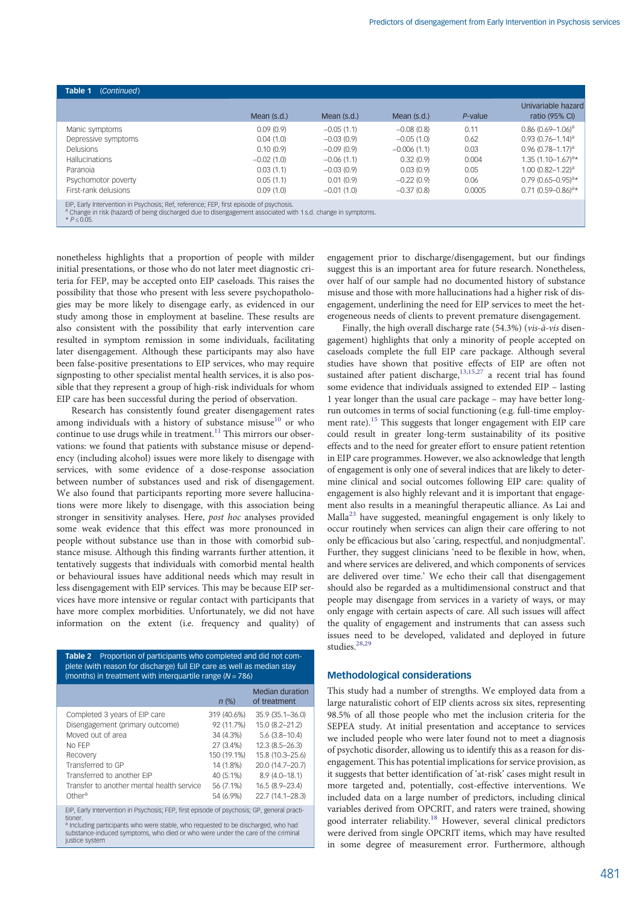<span id="page-4-0"></span>

| Table 1<br>(Continued)                                                                                                                                                                                                              |              |              |               |         |                                      |
|-------------------------------------------------------------------------------------------------------------------------------------------------------------------------------------------------------------------------------------|--------------|--------------|---------------|---------|--------------------------------------|
|                                                                                                                                                                                                                                     | Mean (s.d.)  | Mean (s.d.)  | Mean (s.d.)   | P-value | Univariable hazard<br>ratio (95% CI) |
| Manic symptoms                                                                                                                                                                                                                      | 0.09(0.9)    | $-0.05(1.1)$ | $-0.08(0.8)$  | 0.11    | $0.86$ (0.69-1.06) <sup>a</sup>      |
| Depressive symptoms                                                                                                                                                                                                                 | 0.04(1.0)    | $-0.03(0.9)$ | $-0.05(1.0)$  | 0.62    | $0.93(0.76 - 1.14)^a$                |
| <b>Delusions</b>                                                                                                                                                                                                                    | 0.10(0.9)    | $-0.09(0.9)$ | $-0.006(1.1)$ | 0.03    | $0.96(0.78 - 1.17)^a$                |
| <b>Hallucinations</b>                                                                                                                                                                                                               | $-0.02(1.0)$ | $-0.06(1.1)$ | 0.32(0.9)     | 0.004   | $1.35(1.10-1.67)^{a*}$               |
| Paranoia                                                                                                                                                                                                                            | 0.03(1.1)    | $-0.03(0.9)$ | 0.03(0.9)     | 0.05    | $1.00 (0.82 - 1.22)^a$               |
| Psychomotor poverty                                                                                                                                                                                                                 | 0.05(1.1)    | 0.01(0.9)    | $-0.22(0.9)$  | 0.06    | $0.79(0.65 - 0.95)^{3*}$             |
| First-rank delusions                                                                                                                                                                                                                | 0.09(1.0)    | $-0.01(1.0)$ | $-0.37(0.8)$  | 0.0005  | $0.71(0.59 - 0.86)^{a*}$             |
| EIP, Early Intervention in Psychosis; Ref, reference; FEP, first episode of psychosis.<br><sup>a</sup> Change in risk (hazard) of being discharged due to disengagement associated with 1 s.d. change in symptoms.<br>$* P ≤ 0.05.$ |              |              |               |         |                                      |

nonetheless highlights that a proportion of people with milder initial presentations, or those who do not later meet diagnostic criteria for FEP, may be accepted onto EIP caseloads. This raises the possibility that those who present with less severe psychopathologies may be more likely to disengage early, as evidenced in our study among those in employment at baseline. These results are also consistent with the possibility that early intervention care resulted in symptom remission in some individuals, facilitating later disengagement. Although these participants may also have been false-positive presentations to EIP services, who may require signposting to other specialist mental health services, it is also possible that they represent a group of high-risk individuals for whom EIP care has been successful during the period of observation.

Research has consistently found greater disengagement rates among individuals with a history of substance misuse $10$  or who continue to use drugs while in treatment.<sup>[11](#page-6-0)</sup> This mirrors our observations: we found that patients with substance misuse or dependency (including alcohol) issues were more likely to disengage with services, with some evidence of a dose-response association between number of substances used and risk of disengagement. We also found that participants reporting more severe hallucinations were more likely to disengage, with this association being stronger in sensitivity analyses. Here, post hoc analyses provided some weak evidence that this effect was more pronounced in people without substance use than in those with comorbid substance misuse. Although this finding warrants further attention, it tentatively suggests that individuals with comorbid mental health or behavioural issues have additional needs which may result in less disengagement with EIP services. This may be because EIP services have more intensive or regular contact with participants that have more complex morbidities. Unfortunately, we did not have information on the extent (i.e. frequency and quality) of

Table 2 Proportion of participants who completed and did not complete (with reason for discharge) full EIP care as well as median stay (months) in treatment with interquartile range ( $N = 786$ )

|                                                                                                                                                                                                                                                                                                            | $n$ (%)     | Median duration<br>of treatment |  |  |
|------------------------------------------------------------------------------------------------------------------------------------------------------------------------------------------------------------------------------------------------------------------------------------------------------------|-------------|---------------------------------|--|--|
| Completed 3 years of EIP care                                                                                                                                                                                                                                                                              | 319 (40.6%) | $35.9(35.1 - 36.0)$             |  |  |
| Disengagement (primary outcome)                                                                                                                                                                                                                                                                            | 92 (11.7%)  | 15.0 (8.2-21.2)                 |  |  |
| Moved out of area                                                                                                                                                                                                                                                                                          | 34 (4.3%)   | $5.6(3.8-10.4)$                 |  |  |
| No FFP                                                                                                                                                                                                                                                                                                     | 27 (3.4%)   | $12.3(8.5 - 26.3)$              |  |  |
| Recovery                                                                                                                                                                                                                                                                                                   | 150 (19.1%) | 15.8 (10.3-25.6)                |  |  |
| Transferred to GP                                                                                                                                                                                                                                                                                          | 14 (1.8%)   | 20.0 (14.7-20.7)                |  |  |
| Transferred to another FIP                                                                                                                                                                                                                                                                                 | 40 (5.1%)   | $8.9(4.0 - 18.1)$               |  |  |
| Transfer to another mental health service                                                                                                                                                                                                                                                                  | 56 (7.1%)   | $16.5(8.9-23.4)$                |  |  |
| Other <sup>a</sup>                                                                                                                                                                                                                                                                                         | 54 (6.9%)   | 22.7 (14.1-28.3)                |  |  |
| EIP, Early Intervention in Psychosis; FEP, first episode of psychosis; GP, general practi-<br>tioner.<br><sup>a</sup> Including participants who were stable, who requested to be discharged, who had<br>substance-induced symptoms, who died or who were under the care of the criminal<br>justice system |             |                                 |  |  |

engagement prior to discharge/disengagement, but our findings suggest this is an important area for future research. Nonetheless, over half of our sample had no documented history of substance misuse and those with more hallucinations had a higher risk of disengagement, underlining the need for EIP services to meet the heterogeneous needs of clients to prevent premature disengagement.

Finally, the high overall discharge rate (54.3%) (vis-à-vis disengagement) highlights that only a minority of people accepted on caseloads complete the full EIP care package. Although several studies have shown that positive effects of EIP are often not sustained after patient discharge, $13,15,27$  $13,15,27$  $13,15,27$  $13,15,27$  $13,15,27$  a recent trial has found some evidence that individuals assigned to extended EIP – lasting 1 year longer than the usual care package – may have better longrun outcomes in terms of social functioning (e.g. full-time employment rate).[15](#page-6-0) This suggests that longer engagement with EIP care could result in greater long-term sustainability of its positive effects and to the need for greater effort to ensure patient retention in EIP care programmes. However, we also acknowledge that length of engagement is only one of several indices that are likely to determine clinical and social outcomes following EIP care: quality of engagement is also highly relevant and it is important that engagement also results in a meaningful therapeutic alliance. As Lai and Malla[23](#page-6-0) have suggested, meaningful engagement is only likely to occur routinely when services can align their care offering to not only be efficacious but also 'caring, respectful, and nonjudgmental'. Further, they suggest clinicians 'need to be flexible in how, when, and where services are delivered, and which components of services are delivered over time.' We echo their call that disengagement should also be regarded as a multidimensional construct and that people may disengage from services in a variety of ways, or may only engage with certain aspects of care. All such issues will affect the quality of engagement and instruments that can assess such issues need to be developed, validated and deployed in future studies.<sup>[28,29](#page-6-0)</sup>

## Methodological considerations

This study had a number of strengths. We employed data from a large naturalistic cohort of EIP clients across six sites, representing 98.5% of all those people who met the inclusion criteria for the SEPEA study. At initial presentation and acceptance to services we included people who were later found not to meet a diagnosis of psychotic disorder, allowing us to identify this as a reason for disengagement. This has potential implications for service provision, as it suggests that better identification of 'at-risk' cases might result in more targeted and, potentially, cost-effective interventions. We included data on a large number of predictors, including clinical variables derived from OPCRIT, and raters were trained, showing good interrater reliability.<sup>[18](#page-6-0)</sup> However, several clinical predictors were derived from single OPCRIT items, which may have resulted in some degree of measurement error. Furthermore, although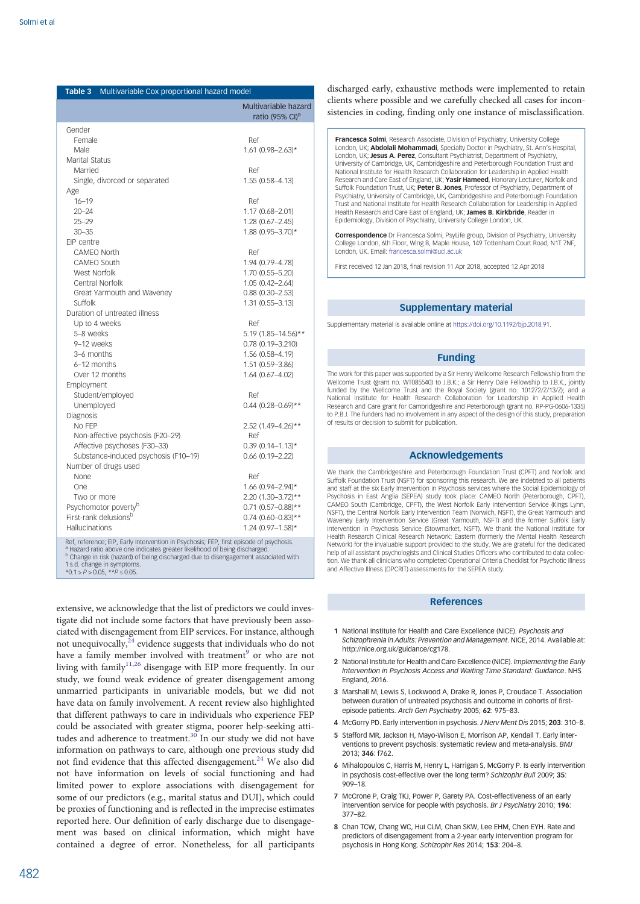<span id="page-5-0"></span>

| Table 3                 | Multivariable Cox proportional hazard model                                                                                                                                                                                                                                                                    |                                                     |
|-------------------------|----------------------------------------------------------------------------------------------------------------------------------------------------------------------------------------------------------------------------------------------------------------------------------------------------------------|-----------------------------------------------------|
|                         |                                                                                                                                                                                                                                                                                                                | Multivariable hazard<br>ratio (95% CI) <sup>a</sup> |
| Gender                  |                                                                                                                                                                                                                                                                                                                |                                                     |
| Female                  |                                                                                                                                                                                                                                                                                                                | Ref                                                 |
| Male                    |                                                                                                                                                                                                                                                                                                                | $1.61$ (0.98-2.63)*                                 |
| Marital Status          |                                                                                                                                                                                                                                                                                                                |                                                     |
| Married                 |                                                                                                                                                                                                                                                                                                                | Ref                                                 |
|                         | Single, divorced or separated                                                                                                                                                                                                                                                                                  | 1.55 (0.58-4.13)                                    |
| Age                     |                                                                                                                                                                                                                                                                                                                |                                                     |
| $16 - 19$               |                                                                                                                                                                                                                                                                                                                | Ref                                                 |
| $20 - 24$               |                                                                                                                                                                                                                                                                                                                | 1.17 (0.68-2.01)                                    |
| $25 - 29$               |                                                                                                                                                                                                                                                                                                                | $1.28(0.67 - 2.45)$                                 |
| $30 - 35$               |                                                                                                                                                                                                                                                                                                                | 1.88 (0.95-3.70)*                                   |
| EIP centre              |                                                                                                                                                                                                                                                                                                                |                                                     |
|                         | CAMEO North                                                                                                                                                                                                                                                                                                    | Ref                                                 |
|                         | CAMFO South                                                                                                                                                                                                                                                                                                    | 1.94 (0.79-4.78)                                    |
|                         | West Norfolk                                                                                                                                                                                                                                                                                                   | 1.70 (0.55-5.20)                                    |
|                         | Central Norfolk                                                                                                                                                                                                                                                                                                | $1.05(0.42 - 2.64)$                                 |
|                         | Great Yarmouth and Waveney                                                                                                                                                                                                                                                                                     | $0.88(0.30 - 2.53)$                                 |
| Suffolk                 |                                                                                                                                                                                                                                                                                                                | 1.31 (0.55-3.13)                                    |
|                         | Duration of untreated illness                                                                                                                                                                                                                                                                                  |                                                     |
|                         | Up to 4 weeks                                                                                                                                                                                                                                                                                                  | Ref                                                 |
| 5-8 weeks               |                                                                                                                                                                                                                                                                                                                | 5.19 (1.85-14.56)**                                 |
| 9-12 weeks              |                                                                                                                                                                                                                                                                                                                | $0.78(0.19 - 3.210)$                                |
| 3-6 months              | 6-12 months                                                                                                                                                                                                                                                                                                    | 1.56 (0.58–4.19)                                    |
|                         |                                                                                                                                                                                                                                                                                                                | 1.51 (0.59-3.86)                                    |
|                         | Over 12 months                                                                                                                                                                                                                                                                                                 | 1.64 (0.67-4.02)                                    |
| Employment              |                                                                                                                                                                                                                                                                                                                |                                                     |
|                         | Student/employed                                                                                                                                                                                                                                                                                               | Ref                                                 |
| Unemployed<br>Diagnosis |                                                                                                                                                                                                                                                                                                                | $0.44$ (0.28-0.69)**                                |
| NO FFP                  |                                                                                                                                                                                                                                                                                                                | 2.52 (1.49-4.26)**                                  |
|                         | Non-affective psychosis (F20-29)                                                                                                                                                                                                                                                                               | Ref                                                 |
|                         | Affective psychoses (F30-33)                                                                                                                                                                                                                                                                                   | $0.39(0.14 - 1.13)*$                                |
|                         | Substance-induced psychosis (F10-19)                                                                                                                                                                                                                                                                           | $0.66(0.19 - 2.22)$                                 |
|                         | Number of drugs used                                                                                                                                                                                                                                                                                           |                                                     |
| None                    |                                                                                                                                                                                                                                                                                                                | Ref                                                 |
| One                     |                                                                                                                                                                                                                                                                                                                | 1.66 (0.94-2.94)*                                   |
| Two or more             |                                                                                                                                                                                                                                                                                                                | 2.20 (1.30-3.72)**                                  |
|                         | Psychomotor poverty <sup>b</sup>                                                                                                                                                                                                                                                                               | $0.71$ (0.57-0.88)**                                |
|                         | First-rank delusions <sup>b</sup>                                                                                                                                                                                                                                                                              | $0.74$ (0.60-0.83)**                                |
| Hallucinations          |                                                                                                                                                                                                                                                                                                                | $1.24(0.97 - 1.58)*$                                |
|                         |                                                                                                                                                                                                                                                                                                                |                                                     |
|                         | Ref, reference; EIP, Early Intervention in Psychosis; FEP, first episode of psychosis.<br><sup>a</sup> Hazard ratio above one indicates greater likelihood of being discharged.<br><sup>b</sup> Change in risk (hazard) of being discharged due to disengagement associated with<br>1 s.d. change in symptoms. |                                                     |
|                         | *0.1 > $P$ > 0.05, ** $P \le 0.05$ .                                                                                                                                                                                                                                                                           |                                                     |

extensive, we acknowledge that the list of predictors we could investigate did not include some factors that have previously been associated with disengagement from EIP services. For instance, although not unequivocally, $^{24}$  $^{24}$  $^{24}$  evidence suggests that individuals who do not have a family member involved with treatment<sup>[9](#page-6-0)</sup> or who are not living with family<sup>[11](#page-6-0),[26](#page-6-0)</sup> disengage with EIP more frequently. In our study, we found weak evidence of greater disengagement among unmarried participants in univariable models, but we did not have data on family involvement. A recent review also highlighted that different pathways to care in individuals who experience FEP could be associated with greater stigma, poorer help-seeking atti-tudes and adherence to treatment.<sup>[30](#page-6-0)</sup> In our study we did not have information on pathways to care, although one previous study did not find evidence that this affected disengagement.<sup>[24](#page-6-0)</sup> We also did not have information on levels of social functioning and had limited power to explore associations with disengagement for some of our predictors (e.g., marital status and DUI), which could be proxies of functioning and is reflected in the imprecise estimates reported here. Our definition of early discharge due to disengagement was based on clinical information, which might have contained a degree of error. Nonetheless, for all participants

discharged early, exhaustive methods were implemented to retain clients where possible and we carefully checked all cases for inconsistencies in coding, finding only one instance of misclassification.

Francesca Solmi, Research Associate, Division of Psychiatry, University College London, UK; Abdolali Mohammadi, Specialty Doctor in Psychiatry, St. Ann's Hospital, London, UK; Jesus A. Perez, Consultant Psychiatrist, Department of Psychiatry, University of Cambridge, UK, Cambridgeshire and Peterborough Foundation Trust and National Institute for Health Research Collaboration for Leadership in Applied Health Research and Care East of England, UK; Yasir Hameed, Honorary Lecturer, Norfolk and Suffolk Foundation Trust, UK; Peter B. Jones, Professor of Psychiatry, Department of Psychiatry, University of Cambridge, UK, Cambridgeshire and Peterborough Foundation Trust and National Institute for Health Research Collaboration for Leadership in Applied Health Research and Care East of England, UK; James B. Kirkbride, Reader in Epidemiology, Division of Psychiatry, University College London, UK.

Correspondence Dr Francesca Solmi, PsyLife group, Division of Psychiatry, University College London, 6th Floor, Wing B, Maple House, 149 Tottenham Court Road, N1T 7NF, London, UK. Email: [francesca.solmi@ucl.ac.uk](mailto:francesca.solmi@ucl.ac.uk)

First received 12 Jan 2018, final revision 11 Apr 2018, accepted 12 Apr 2018

# Supplementary material

Supplementary material is available online at <https://doi.org/10.1192/bjp.2018.91>.

#### Funding

The work for this paper was supported by a Sir Henry Wellcome Research Fellowship from the Wellcome Trust (grant no. WT085540) to J.B.K.; a Sir Henry Dale Fellowship to J.B.K., jointly funded by the Wellcome Trust and the Royal Society (grant no. 101272/Z/13/Z); and a National Institute for Health Research Collaboration for Leadership in Applied Health Research and Care grant for Cambridgeshire and Peterborough (grant no. RP-PG-0606-1335) to P.B.J. The funders had no involvement in any aspect of the design of this study, preparation of results or decision to submit for publication.

## Acknowledgements

We thank the Cambridgeshire and Peterborough Foundation Trust (CPFT) and Norfolk and Suffolk Foundation Trust (NSFT) for sponsoring this research. We are indebted to all patients and staff at the six Early Intervention in Psychosis services where the Social Epidemiology of Psychosis in East Anglia (SEPEA) study took place: CAMEO North (Peterborough, CPFT), CAMEO South (Cambridge, CPFT), the West Norfolk Early Intervention Service (Kings Lynn, NSFT), the Central Norfolk Early Intervention Team (Norwich, NSFT), the Great Yarmouth and Waveney Early Intervention Service (Great Yarmouth, NSFT) and the former Suffolk Early Intervention in Psychosis Service (Stowmarket, NSFT). We thank the National Institute for Health Research Clinical Research Network: Eastern (formerly the Mental Health Research Network) for the invaluable support provided to the study. We are grateful for the dedicated help of all assistant psychologists and Clinical Studies Officers who contributed to data collection. We thank all clinicians who completed Operational Criteria Checklist for Psychotic Illness and Affective Illness (OPCRIT) assessments for the SEPEA study.

### References

- 1 National Institute for Health and Care Excellence (NICE). Psychosis and Schizophrenia in Adults: Prevention and Management. NICE, 2014. Available at: http://nice.org.uk/guidance/cg178.
- 2 National Institute for Health and Care Excellence (NICE). Implementing the Early Intervention in Psychosis Access and Waiting Time Standard: Guidance. NHS England, 2016.
- 3 Marshall M, Lewis S, Lockwood A, Drake R, Jones P, Croudace T. Association between duration of untreated psychosis and outcome in cohorts of firstepisode patients. Arch Gen Psychiatry 2005; 62: 975–83.
- 4 McGorry PD. Early intervention in psychosis. J Nerv Ment Dis 2015; 203: 310–8.
- 5 Stafford MR, Jackson H, Mayo-Wilson E, Morrison AP, Kendall T. Early interventions to prevent psychosis: systematic review and meta-analysis. BMJ 2013; 346: f762.
- 6 Mihalopoulos C, Harris M, Henry L, Harrigan S, McGorry P. Is early intervention in psychosis cost-effective over the long term? Schizophr Bull 2009; 35: 909–18.
- 7 McCrone P, Craig TKJ, Power P, Garety PA. Cost-effectiveness of an early intervention service for people with psychosis. Br J Psychiatry 2010; 196: 377–82.
- 8. Chan TCW, Chang WC, Hui CLM, Chan SKW, Lee FHM, Chen EYH, Rate and predictors of disengagement from a 2-year early intervention program for psychosis in Hong Kong. Schizophr Res 2014; 153: 204–8.